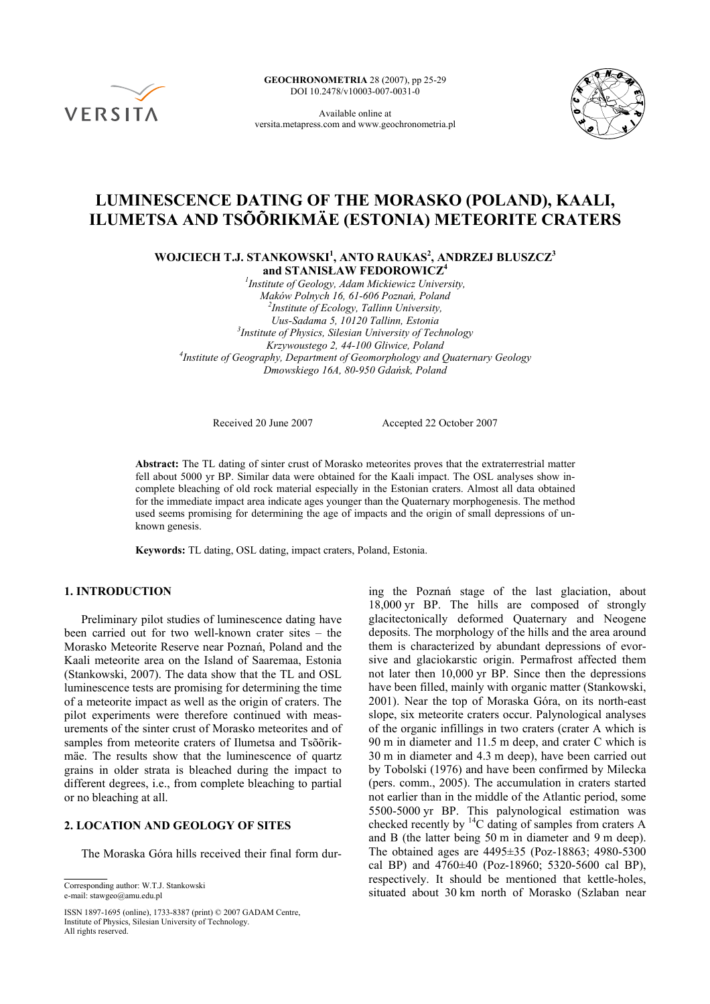

**GEOCHRONOMETRIA** 28 (2007), pp 25-29 DOI 10.2478/v10003-007-0031-0

Available online at versita.metapress.com and www.geochronometria.pl



# **LUMINESCENCE DATING OF THE MORASKO (POLAND), KAALI, ILUMETSA AND TSÕÕRIKMÄE (ESTONIA) METEORITE CRATERS**

**WOJCIECH T.J. STANKOWSKI1 , ANTO RAUKAS<sup>2</sup> , ANDRZEJ BLUSZCZ3 and STANISŁAW FEDOROWICZ4**

*1 Institute of Geology, Adam Mickiewicz University, Maków Polnych 16, 61-606 Poznań, Poland 2 Institute of Ecology, Tallinn University, Uus-Sadama 5, 10120 Tallinn, Estonia 3 Institute of Physics, Silesian University of Technology Krzywoustego 2, 44-100 Gliwice, Poland 4 Institute of Geography, Department of Geomorphology and Quaternary Geology Dmowskiego 16A, 80-950 Gdańsk, Poland* 

Received 20 June 2007 Accepted 22 October 2007

**Abstract:** The TL dating of sinter crust of Morasko meteorites proves that the extraterrestrial matter fell about 5000 yr BP. Similar data were obtained for the Kaali impact. The OSL analyses show incomplete bleaching of old rock material especially in the Estonian craters. Almost all data obtained for the immediate impact area indicate ages younger than the Quaternary morphogenesis. The method used seems promising for determining the age of impacts and the origin of small depressions of unknown genesis.

**Keywords:** TL dating, OSL dating, impact craters, Poland, Estonia.

#### **1. INTRODUCTION**

Preliminary pilot studies of luminescence dating have been carried out for two well-known crater sites – the Morasko Meteorite Reserve near Poznań, Poland and the Kaali meteorite area on the Island of Saaremaa, Estonia (Stankowski, 2007). The data show that the TL and OSL luminescence tests are promising for determining the time of a meteorite impact as well as the origin of craters. The pilot experiments were therefore continued with measurements of the sinter crust of Morasko meteorites and of samples from meteorite craters of Ilumetsa and Tsõõrikmäe. The results show that the luminescence of quartz grains in older strata is bleached during the impact to different degrees, i.e., from complete bleaching to partial or no bleaching at all.

# **2. LOCATION AND GEOLOGY OF SITES**

The Moraska Góra hills received their final form dur-

e-mail: stawgeo@amu.edu.pl

ISSN 1897-1695 (online), 1733-8387 (print) © 2007 GADAM Centre, Institute of Physics, Silesian University of Technology. All rights reserved.

ing the Poznań stage of the last glaciation, about 18,000 yr BP. The hills are composed of strongly glacitectonically deformed Quaternary and Neogene deposits. The morphology of the hills and the area around them is characterized by abundant depressions of evorsive and glaciokarstic origin. Permafrost affected them not later then 10,000 yr BP. Since then the depressions have been filled, mainly with organic matter (Stankowski, 2001). Near the top of Moraska Góra, on its north-east slope, six meteorite craters occur. Palynological analyses of the organic infillings in two craters (crater A which is 90 m in diameter and 11.5 m deep, and crater C which is 30 m in diameter and 4.3 m deep), have been carried out by Tobolski (1976) and have been confirmed by Milecka (pers. comm., 2005). The accumulation in craters started not earlier than in the middle of the Atlantic period, some 5500-5000 yr BP. This palynological estimation was checked recently by  ${}^{14}C$  dating of samples from craters A and B (the latter being 50 m in diameter and 9 m deep). The obtained ages are 4495±35 (Poz-18863; 4980-5300 cal BP) and  $4760\pm40$  (Poz-18960; 5320-5600 cal BP), respectively. It should be mentioned that kettle-holes, Situated about 30 km north of Morasko (Szlaban near<br>e-mail: staweeo@amu edu pl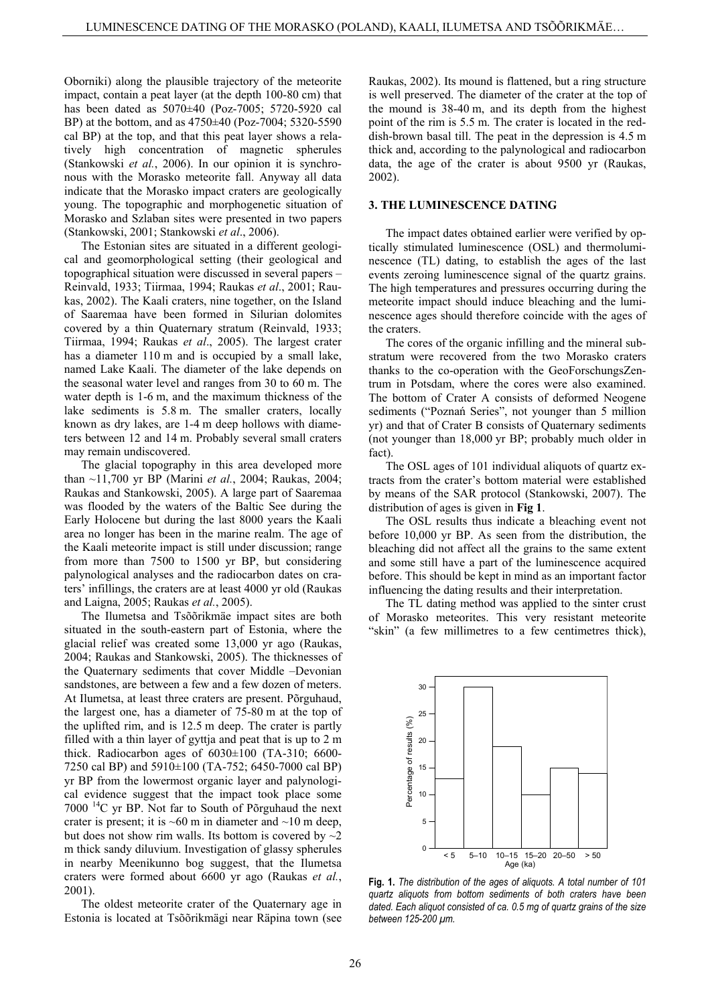Oborniki) along the plausible trajectory of the meteorite impact, contain a peat layer (at the depth 100-80 cm) that has been dated as 5070±40 (Poz-7005; 5720-5920 cal BP) at the bottom, and as 4750±40 (Poz-7004; 5320-5590 cal BP) at the top, and that this peat layer shows a relatively high concentration of magnetic spherules (Stankowski *et al.*, 2006). In our opinion it is synchronous with the Morasko meteorite fall. Anyway all data indicate that the Morasko impact craters are geologically young. The topographic and morphogenetic situation of Morasko and Szlaban sites were presented in two papers (Stankowski, 2001; Stankowski *et al*., 2006).

The Estonian sites are situated in a different geological and geomorphological setting (their geological and topographical situation were discussed in several papers – Reinvald, 1933; Tiirmaa, 1994; Raukas *et al*., 2001; Raukas, 2002). The Kaali craters, nine together, on the Island of Saaremaa have been formed in Silurian dolomites covered by a thin Quaternary stratum (Reinvald, 1933; Tiirmaa, 1994; Raukas *et al*., 2005). The largest crater has a diameter 110 m and is occupied by a small lake, named Lake Kaali. The diameter of the lake depends on the seasonal water level and ranges from 30 to 60 m. The water depth is 1-6 m, and the maximum thickness of the lake sediments is 5.8 m. The smaller craters, locally known as dry lakes, are 1-4 m deep hollows with diameters between 12 and 14 m. Probably several small craters may remain undiscovered.

The glacial topography in this area developed more than ~11,700 yr BP (Marini *et al.*, 2004; Raukas, 2004; Raukas and Stankowski, 2005). A large part of Saaremaa was flooded by the waters of the Baltic See during the Early Holocene but during the last 8000 years the Kaali area no longer has been in the marine realm. The age of the Kaali meteorite impact is still under discussion; range from more than 7500 to 1500 yr BP, but considering palynological analyses and the radiocarbon dates on craters' infillings, the craters are at least 4000 yr old (Raukas and Laigna, 2005; Raukas *et al.*, 2005).

The Ilumetsa and Tsõõrikmäe impact sites are both situated in the south-eastern part of Estonia, where the glacial relief was created some 13,000 yr ago (Raukas, 2004; Raukas and Stankowski, 2005). The thicknesses of the Quaternary sediments that cover Middle –Devonian sandstones, are between a few and a few dozen of meters. At Ilumetsa, at least three craters are present. Põrguhaud, the largest one, has a diameter of 75-80 m at the top of the uplifted rim, and is 12.5 m deep. The crater is partly filled with a thin layer of gyttja and peat that is up to 2 m thick. Radiocarbon ages of 6030±100 (TA-310; 6600- 7250 cal BP) and 5910±100 (TA-752; 6450-7000 cal BP) yr BP from the lowermost organic layer and palynological evidence suggest that the impact took place some 7000 14C yr BP. Not far to South of Põrguhaud the next crater is present; it is  $~60 \text{ m}$  in diameter and  $~10 \text{ m}$  deep, but does not show rim walls. Its bottom is covered by  $\sim$ 2 m thick sandy diluvium. Investigation of glassy spherules in nearby Meenikunno bog suggest, that the Ilumetsa craters were formed about 6600 yr ago (Raukas *et al.*, 2001).

The oldest meteorite crater of the Quaternary age in Estonia is located at Tsõõrikmägi near Räpina town (see

Raukas, 2002). Its mound is flattened, but a ring structure is well preserved. The diameter of the crater at the top of the mound is 38-40 m, and its depth from the highest point of the rim is 5.5 m. The crater is located in the reddish-brown basal till. The peat in the depression is 4.5 m thick and, according to the palynological and radiocarbon data, the age of the crater is about 9500 yr (Raukas, 2002).

## **3. THE LUMINESCENCE DATING**

The impact dates obtained earlier were verified by optically stimulated luminescence (OSL) and thermoluminescence (TL) dating, to establish the ages of the last events zeroing luminescence signal of the quartz grains. The high temperatures and pressures occurring during the meteorite impact should induce bleaching and the luminescence ages should therefore coincide with the ages of the craters.

The cores of the organic infilling and the mineral substratum were recovered from the two Morasko craters thanks to the co-operation with the GeoForschungsZentrum in Potsdam, where the cores were also examined. The bottom of Crater A consists of deformed Neogene sediments ("Poznań Series", not younger than 5 million yr) and that of Crater B consists of Quaternary sediments (not younger than 18,000 yr BP; probably much older in fact).

The OSL ages of 101 individual aliquots of quartz extracts from the crater's bottom material were established by means of the SAR protocol (Stankowski, 2007). The distribution of ages is given in **Fig 1**.

The OSL results thus indicate a bleaching event not before 10,000 yr BP. As seen from the distribution, the bleaching did not affect all the grains to the same extent and some still have a part of the luminescence acquired before. This should be kept in mind as an important factor influencing the dating results and their interpretation.

The TL dating method was applied to the sinter crust of Morasko meteorites. This very resistant meteorite "skin" (a few millimetres to a few centimetres thick),



**Fig. 1.** *The distribution of the ages of aliquots. A total number of 101 quartz aliquots from bottom sediments of both craters have been dated. Each aliquot consisted of ca. 0.5 mg of quartz grains of the size between 125-200 µm.*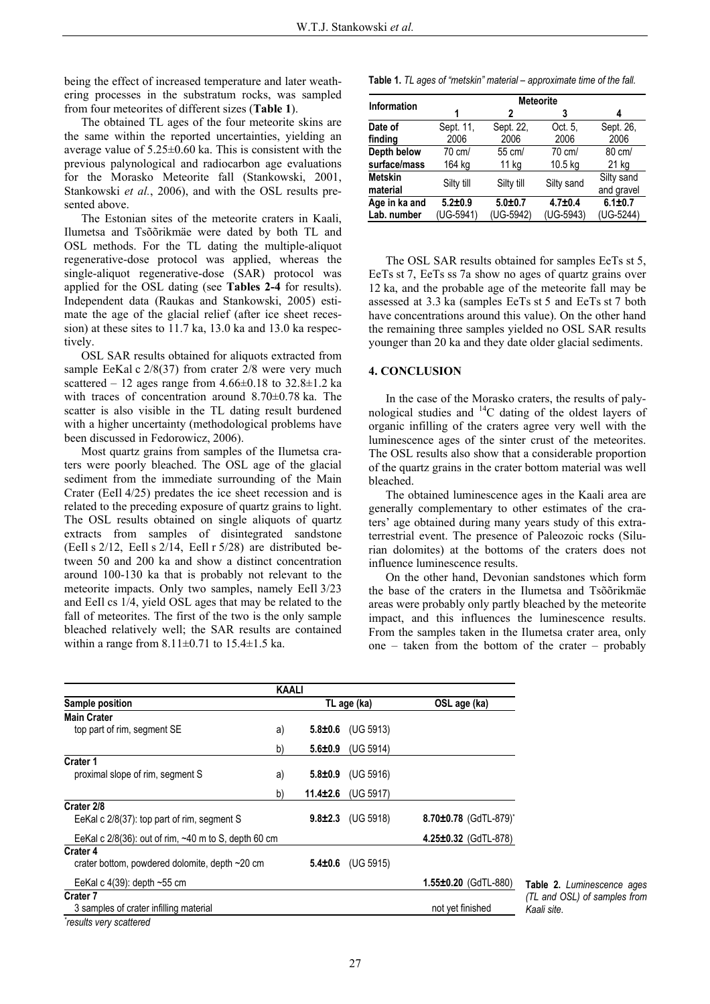being the effect of increased temperature and later weathering processes in the substratum rocks, was sampled from four meteorites of different sizes (**Table 1**).

The obtained TL ages of the four meteorite skins are the same within the reported uncertainties, yielding an average value of 5.25±0.60 ka. This is consistent with the previous palynological and radiocarbon age evaluations for the Morasko Meteorite fall (Stankowski, 2001, Stankowski *et al.*, 2006), and with the OSL results presented above.

The Estonian sites of the meteorite craters in Kaali, Ilumetsa and Tsõõrikmäe were dated by both TL and OSL methods. For the TL dating the multiple-aliquot regenerative-dose protocol was applied, whereas the single-aliquot regenerative-dose (SAR) protocol was applied for the OSL dating (see **Tables 2-4** for results). Independent data (Raukas and Stankowski, 2005) estimate the age of the glacial relief (after ice sheet recession) at these sites to 11.7 ka, 13.0 ka and 13.0 ka respectively.

OSL SAR results obtained for aliquots extracted from sample EeKal c  $2/8(37)$  from crater  $2/8$  were very much scattered – 12 ages range from  $4.66\pm0.18$  to  $32.8\pm1.2$  ka with traces of concentration around 8.70±0.78 ka. The scatter is also visible in the TL dating result burdened with a higher uncertainty (methodological problems have been discussed in Fedorowicz, 2006).

Most quartz grains from samples of the Ilumetsa craters were poorly bleached. The OSL age of the glacial sediment from the immediate surrounding of the Main Crater (EeIl 4/25) predates the ice sheet recession and is related to the preceding exposure of quartz grains to light. The OSL results obtained on single aliquots of quartz extracts from samples of disintegrated sandstone (EeIl s 2/12, EeIl s 2/14, EeIl r 5/28) are distributed between 50 and 200 ka and show a distinct concentration around 100-130 ka that is probably not relevant to the meteorite impacts. Only two samples, namely EeIl 3/23 and EeIl cs 1/4, yield OSL ages that may be related to the fall of meteorites. The first of the two is the only sample bleached relatively well; the SAR results are contained within a range from  $8.11 \pm 0.71$  to  $15.4 \pm 1.5$  ka.

**Table 1.** *TL ages of "metskin" material – approximate time of the fall.*

| <b>Information</b> | <b>Meteorite</b> |             |             |               |  |
|--------------------|------------------|-------------|-------------|---------------|--|
|                    | 1                | 2           | 3           | 4             |  |
| Date of            | Sept. 11.        | Sept. 22.   | Oct. 5.     | Sept. 26,     |  |
| finding            | 2006             | 2006        | 2006        | 2006          |  |
| Depth below        | 70 cm/           | 55 cm/      | 70 cm/      | 80 cm/        |  |
| surface/mass       | 164 kg           | 11 kg       | 10.5 kg     | 21 kg         |  |
| <b>Metskin</b>     | Silty till       | Silty till  | Silty sand  | Silty sand    |  |
| material           |                  |             |             | and gravel    |  |
| Age in ka and      | $5.2 + 0.9$      | $5.0 + 0.7$ | $4.7 + 0.4$ | $6.1 \pm 0.7$ |  |
| Lab. number        | (UG-5941)        | (UG-5942)   | (UG-5943)   | (UG-5244)     |  |

The OSL SAR results obtained for samples EeTs st 5, EeTs st 7, EeTs ss 7a show no ages of quartz grains over 12 ka, and the probable age of the meteorite fall may be assessed at 3.3 ka (samples EeTs st 5 and EeTs st 7 both have concentrations around this value). On the other hand the remaining three samples yielded no OSL SAR results younger than 20 ka and they date older glacial sediments.

### **4. CONCLUSION**

In the case of the Morasko craters, the results of palynological studies and  $^{14}$ C dating of the oldest layers of organic infilling of the craters agree very well with the luminescence ages of the sinter crust of the meteorites. The OSL results also show that a considerable proportion of the quartz grains in the crater bottom material was well bleached.

The obtained luminescence ages in the Kaali area are generally complementary to other estimates of the craters' age obtained during many years study of this extraterrestrial event. The presence of Paleozoic rocks (Silurian dolomites) at the bottoms of the craters does not influence luminescence results.

On the other hand, Devonian sandstones which form the base of the craters in the Ilumetsa and Tsõõrikmäe areas were probably only partly bleached by the meteorite impact, and this influences the luminescence results. From the samples taken in the Ilumetsa crater area, only one – taken from the bottom of the crater – probably

|                                                               | <b>KAALI</b> |                |             |                            |
|---------------------------------------------------------------|--------------|----------------|-------------|----------------------------|
| Sample position                                               |              |                | TL age (ka) | OSL age (ka)               |
| <b>Main Crater</b>                                            |              |                |             |                            |
| top part of rim, segment SE                                   | a)           | $5.8 \pm 0.6$  | (UG 5913)   |                            |
|                                                               | b)           | $5.6 \pm 0.9$  | (UG 5914)   |                            |
| <b>Crater 1</b>                                               |              |                |             |                            |
| proximal slope of rim, segment S                              | a)           | $5.8 \pm 0.9$  | (UG 5916)   |                            |
|                                                               | b)           | $11.4 \pm 2.6$ | (UG 5917)   |                            |
| Crater 2/8                                                    |              |                |             |                            |
| EeKal c 2/8(37): top part of rim, segment S                   |              | $9.8 \pm 2.3$  | (UG 5918)   | 8.70±0.78 (GdTL-879)*      |
| EeKal c $2/8(36)$ : out of rim, $\sim$ 40 m to S, depth 60 cm |              |                |             | 4.25 $\pm$ 0.32 (GdTL-878) |
| Crater 4                                                      |              |                |             |                            |
| crater bottom, powdered dolomite, depth $\sim$ 20 cm          |              | $5.4 \pm 0.6$  | (UG 5915)   |                            |
| EeKal c $4(39)$ : depth ~55 cm                                |              |                |             | $1.55 \pm 0.20$ (GdTL-880) |
| <b>Crater 7</b>                                               |              |                |             |                            |
| 3 samples of crater infilling material                        |              |                |             | not yet finished           |
| results verv scattered."                                      |              |                |             |                            |

**Table 2.** *Luminescence ages (TL and OSL) of samples from* 

*results very scattered*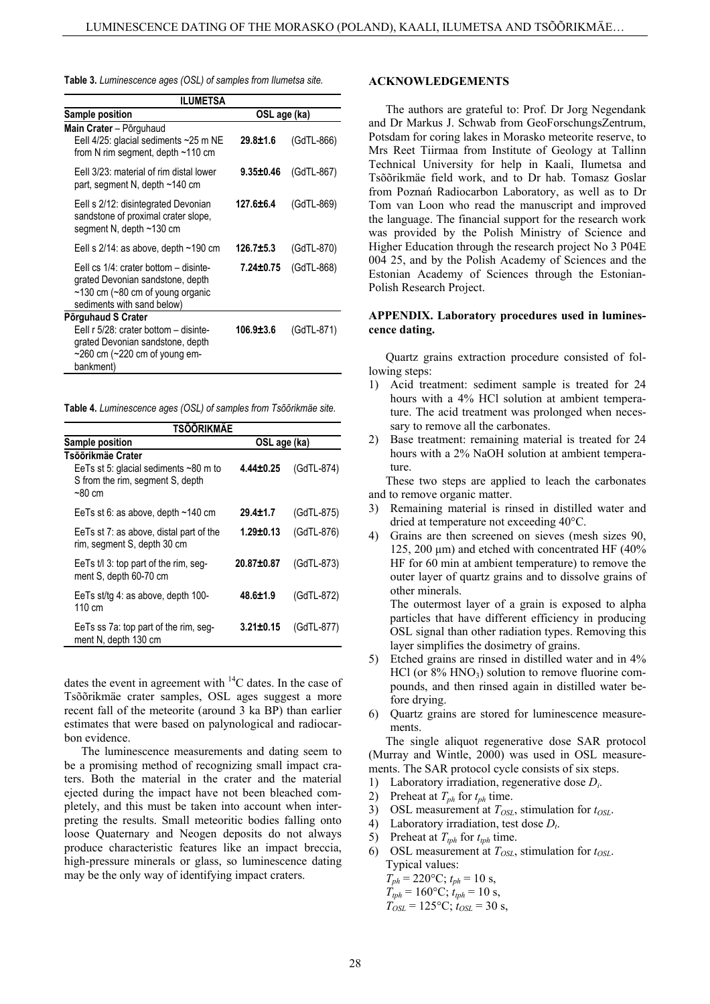| Table 3. Luminescence ages (OSL) of samples from Ilumetsa site. |  |
|-----------------------------------------------------------------|--|
|-----------------------------------------------------------------|--|

| ILUMETSA                                                                                                                                                    |                 |            |  |  |  |
|-------------------------------------------------------------------------------------------------------------------------------------------------------------|-----------------|------------|--|--|--|
| <b>Sample position</b>                                                                                                                                      | OSL age (ka)    |            |  |  |  |
| Main Crater - Põrguhaud<br>Eell 4/25: glacial sediments ~25 m NE<br>from N rim segment, depth ~110 cm                                                       | $29.8 + 1.6$    | (GdTL-866) |  |  |  |
| Eell 3/23: material of rim distal lower<br>part, segment N, depth ~140 cm                                                                                   | $9.35 \pm 0.46$ | (GdTL-867) |  |  |  |
| Eell s 2/12: disintegrated Devonian<br>sandstone of proximal crater slope,<br>segment N, depth ~130 cm                                                      | 127.6±6.4       | (GdTL-869) |  |  |  |
| Eell s $2/14$ : as above, depth ~190 cm                                                                                                                     | $126.7 \pm 5.3$ | (GdTL-870) |  |  |  |
| Eell cs $1/4$ : crater bottom – disinte-<br>grated Devonian sandstone, depth<br>$\sim$ 130 cm ( $\sim$ 80 cm of young organic<br>sediments with sand below) | $7.24 \pm 0.75$ | (GdTL-868) |  |  |  |
| Põrguhaud S Crater                                                                                                                                          |                 |            |  |  |  |
| Eell r 5/28: crater bottom – disinte-<br>grated Devonian sandstone, depth<br>$\sim$ 260 cm ( $\sim$ 220 cm of young em-<br>bankment)                        | 106.9±3.6       | (GdTL-871) |  |  |  |

**Table 4.** *Luminescence ages (OSL) of samples from Tsõõrikmäe site.*

| TSÕÕRIKMÄE                                                                                                    |                 |            |  |  |
|---------------------------------------------------------------------------------------------------------------|-----------------|------------|--|--|
| Sample position                                                                                               | OSL age (ka)    |            |  |  |
| Tsõõrikmäe Crater<br>EeTs st 5: glacial sediments $\sim80$ m to<br>S from the rim, segment S, depth<br>~80 cm | 4.44±0.25       | (GdTL-874) |  |  |
| EeTs st 6: as above, depth $~140$ cm                                                                          | $29.4 + 1.7$    | (GdTL-875) |  |  |
| EeTs st 7: as above, distal part of the<br>rim, segment S, depth 30 cm                                        | $1.29 \pm 0.13$ | (GdTL-876) |  |  |
| EeTs $t/13$ : top part of the rim, seg-<br>ment S, depth 60-70 cm                                             | 20.87±0.87      | (GdTL-873) |  |  |
| EeTs st/tg 4: as above, depth 100-<br>110 cm                                                                  | $48.6 \pm 1.9$  | (GdTL-872) |  |  |
| EeTs ss 7a: top part of the rim, seg-<br>ment N, depth 130 cm                                                 | $3.21 \pm 0.15$ | (GdTL-877) |  |  |

dates the event in agreement with  $^{14}$ C dates. In the case of Tsõõrikmäe crater samples, OSL ages suggest a more recent fall of the meteorite (around 3 ka BP) than earlier estimates that were based on palynological and radiocarbon evidence.

The luminescence measurements and dating seem to be a promising method of recognizing small impact craters. Both the material in the crater and the material ejected during the impact have not been bleached completely, and this must be taken into account when interpreting the results. Small meteoritic bodies falling onto loose Quaternary and Neogen deposits do not always produce characteristic features like an impact breccia, high-pressure minerals or glass, so luminescence dating may be the only way of identifying impact craters.

#### **ACKNOWLEDGEMENTS**

The authors are grateful to: Prof. Dr Jorg Negendank and Dr Markus J. Schwab from GeoForschungsZentrum, Potsdam for coring lakes in Morasko meteorite reserve, to Mrs Reet Tiirmaa from Institute of Geology at Tallinn Technical University for help in Kaali, Ilumetsa and Tsõõrikmäe field work, and to Dr hab. Tomasz Goslar from Poznań Radiocarbon Laboratory, as well as to Dr Tom van Loon who read the manuscript and improved the language. The financial support for the research work was provided by the Polish Ministry of Science and Higher Education through the research project No 3 P04E 004 25, and by the Polish Academy of Sciences and the Estonian Academy of Sciences through the Estonian-Polish Research Project.

#### **APPENDIX. Laboratory procedures used in luminescence dating.**

Quartz grains extraction procedure consisted of following steps:

- 1) Acid treatment: sediment sample is treated for 24 hours with a 4% HCl solution at ambient temperature. The acid treatment was prolonged when necessary to remove all the carbonates.
- 2) Base treatment: remaining material is treated for 24 hours with a 2% NaOH solution at ambient temperature.

These two steps are applied to leach the carbonates and to remove organic matter.

- 3) Remaining material is rinsed in distilled water and dried at temperature not exceeding 40°C.
- 4) Grains are then screened on sieves (mesh sizes 90, 125, 200  $\mu$ m) and etched with concentrated HF (40%) HF for 60 min at ambient temperature) to remove the outer layer of quartz grains and to dissolve grains of other minerals.

The outermost layer of a grain is exposed to alpha particles that have different efficiency in producing OSL signal than other radiation types. Removing this layer simplifies the dosimetry of grains.

- 5) Etched grains are rinsed in distilled water and in 4%  $HCl$  (or  $8\%$   $HNO<sub>3</sub>$ ) solution to remove fluorine compounds, and then rinsed again in distilled water before drying.
- 6) Quartz grains are stored for luminescence measurements.

The single aliquot regenerative dose SAR protocol (Murray and Wintle, 2000) was used in OSL measurements. The SAR protocol cycle consists of six steps.

- 1) Laboratory irradiation, regenerative dose *Di*.
- 2) Preheat at  $T_{ph}$  for  $t_{ph}$  time.
- 3) OSL measurement at  $T_{OSL}$ , stimulation for  $t_{OSL}$ .
- 4) Laboratory irradiation, test dose *Dt*.
- 5) Preheat at  $T_{tph}$  for  $t_{tph}$  time.
- 6) OSL measurement at  $T_{OSL}$ , stimulation for  $t_{OSL}$ . Typical values:

 $T_{ph} = 220$ °C;  $t_{ph} = 10$  s,  $T_{tph} = 160$ °C;  $t_{tph} = 10$  s,

 $T_{OSL} = 125$ °C;  $t_{OSL} = 30$  s,